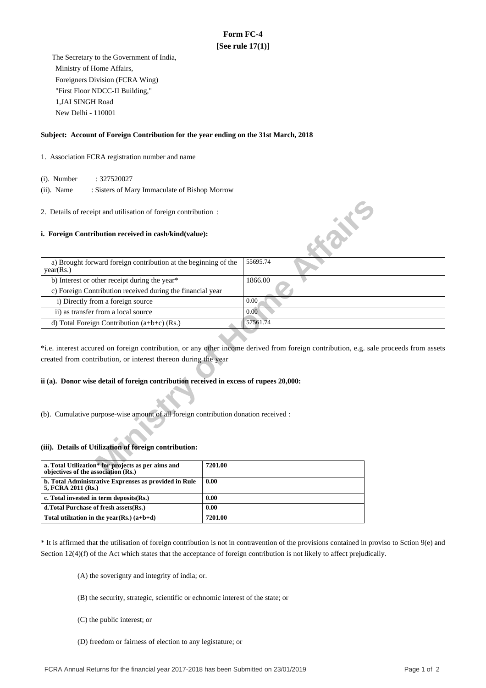# **Form FC-4 [See rule 17(1)]**

 The Secretary to the Government of India, Ministry of Home Affairs, Foreigners Division (FCRA Wing) "First Floor NDCC-II Building," 1,JAI SINGH Road New Delhi - 110001

### **Subject: Account of Foreign Contribution for the year ending on the 31st March, 2018**

### 1. Association FCRA registration number and name

(i). Number : 327520027

 (ii). Name : Sisters of Mary Immaculate of Bishop Morrow

#### **i. Foreign Contribution received in cash/kind(value):**

| 2. Details of receipt and utilisation of foreign contribution:                            |                                                                                                                                       |
|-------------------------------------------------------------------------------------------|---------------------------------------------------------------------------------------------------------------------------------------|
| i. Foreign Contribution received in cash/kind(value):                                     | <b>SILLER</b>                                                                                                                         |
| a) Brought forward foreign contribution at the beginning of the<br>year(Rs.)              | 55695.74                                                                                                                              |
| b) Interest or other receipt during the year*                                             | 1866.00                                                                                                                               |
| c) Foreign Contribution received during the financial year                                |                                                                                                                                       |
| i) Directly from a foreign source                                                         | 0.00                                                                                                                                  |
| ii) as transfer from a local source                                                       | 0.00                                                                                                                                  |
| d) Total Foreign Contribution $(a+b+c)$ (Rs.)                                             | 57561.74                                                                                                                              |
| created from contribution, or interest thereon during the year                            | *i.e. interest accured on foreign contribution, or any other income derived from foreign contribution, e.g. sale proceeds from assets |
| ii (a). Donor wise detail of foreign contribution received in excess of rupees 20,000:    |                                                                                                                                       |
| (b). Cumulative purpose-wise amount of all foreign contribution donation received :       |                                                                                                                                       |
| (iii). Details of Utilization of foreign contribution:                                    |                                                                                                                                       |
| a. Total Utilization* for projects as per aims and<br>objectives of the association (Rs.) | 7201.00                                                                                                                               |

## **ii (a). Donor wise detail of foreign contribution received in excess of rupees 20,000:**

#### **(iii). Details of Utilization of foreign contribution:**

| a. Total Utilization* for projects as per aims and<br>objectives of the association (Rs.) | 7201.00 |
|-------------------------------------------------------------------------------------------|---------|
| b. Total Administrative Exprenses as provided in Rule<br>5, FCRA 2011 (Rs.)               | 0.00    |
| c. Total invested in term deposits (Rs.)                                                  | 0.00    |
| d. Total Purchase of fresh assets (Rs.)                                                   | 0.00    |
| Total utilization in the year(Rs.) $(a+b+d)$                                              | 7201.00 |

\* It is affirmed that the utilisation of foreign contribution is not in contravention of the provisions contained in proviso to Sction 9(e) and Section 12(4)(f) of the Act which states that the acceptance of foreign contribution is not likely to affect prejudically.

(A) the soverignty and integrity of india; or.

- (B) the security, strategic, scientific or echnomic interest of the state; or
- (C) the public interest; or
- (D) freedom or fairness of election to any legistature; or